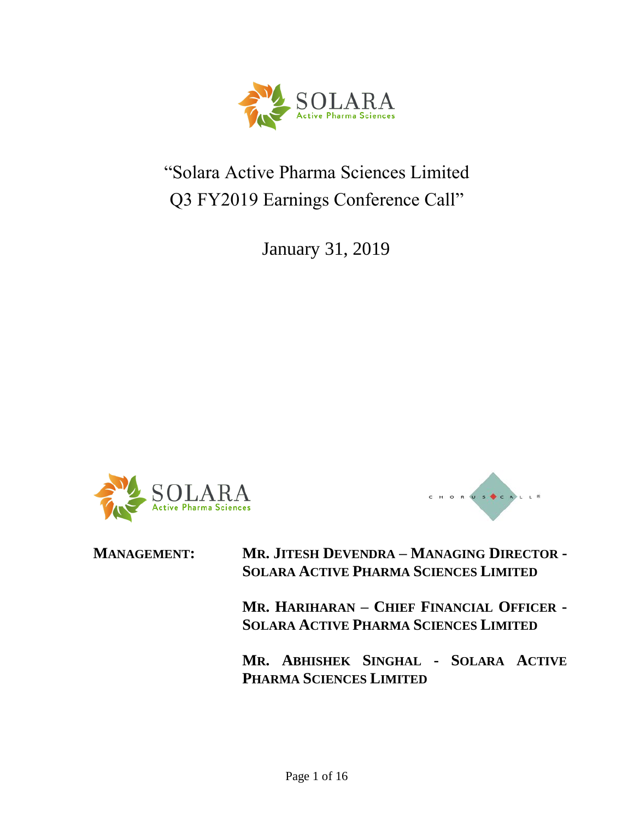$\operatorname{SOLARA}_{\color{blue}\mathsf{Active\ Pharma\ Sciences}}$ 

"Solara Active Pharma Sciences Limited Q3 FY2019 Earnings Conference Call"

January 31, 2019





**MANAGEMENT: MR. JITESH DEVENDRA – MANAGING DIRECTOR - SOLARA ACTIVE PHARMA SCIENCES LIMITED**

> **MR. HARIHARAN – CHIEF FINANCIAL OFFICER - SOLARA ACTIVE PHARMA SCIENCES LIMITED**

> **MR. ABHISHEK SINGHAL - SOLARA ACTIVE PHARMA SCIENCES LIMITED**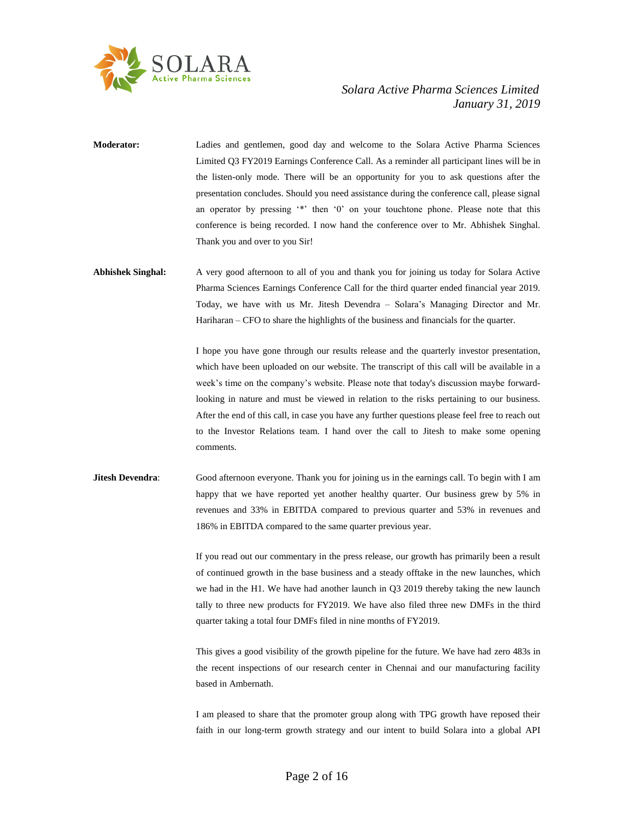

- **Moderator:** Ladies and gentlemen, good day and welcome to the Solara Active Pharma Sciences Limited Q3 FY2019 Earnings Conference Call. As a reminder all participant lines will be in the listen-only mode. There will be an opportunity for you to ask questions after the presentation concludes. Should you need assistance during the conference call, please signal an operator by pressing '\*' then '0' on your touchtone phone. Please note that this conference is being recorded. I now hand the conference over to Mr. Abhishek Singhal. Thank you and over to you Sir!
- **Abhishek Singhal:** A very good afternoon to all of you and thank you for joining us today for Solara Active Pharma Sciences Earnings Conference Call for the third quarter ended financial year 2019. Today, we have with us Mr. Jitesh Devendra – Solara's Managing Director and Mr. Hariharan – CFO to share the highlights of the business and financials for the quarter.

I hope you have gone through our results release and the quarterly investor presentation, which have been uploaded on our website. The transcript of this call will be available in a week's time on the company's website. Please note that today's discussion maybe forwardlooking in nature and must be viewed in relation to the risks pertaining to our business. After the end of this call, in case you have any further questions please feel free to reach out to the Investor Relations team. I hand over the call to Jitesh to make some opening comments.

**Jitesh Devendra:** Good afternoon everyone. Thank you for joining us in the earnings call. To begin with I am happy that we have reported yet another healthy quarter. Our business grew by 5% in revenues and 33% in EBITDA compared to previous quarter and 53% in revenues and 186% in EBITDA compared to the same quarter previous year.

> If you read out our commentary in the press release, our growth has primarily been a result of continued growth in the base business and a steady offtake in the new launches, which we had in the H1. We have had another launch in Q3 2019 thereby taking the new launch tally to three new products for FY2019. We have also filed three new DMFs in the third quarter taking a total four DMFs filed in nine months of FY2019.

> This gives a good visibility of the growth pipeline for the future. We have had zero 483s in the recent inspections of our research center in Chennai and our manufacturing facility based in Ambernath.

> I am pleased to share that the promoter group along with TPG growth have reposed their faith in our long-term growth strategy and our intent to build Solara into a global API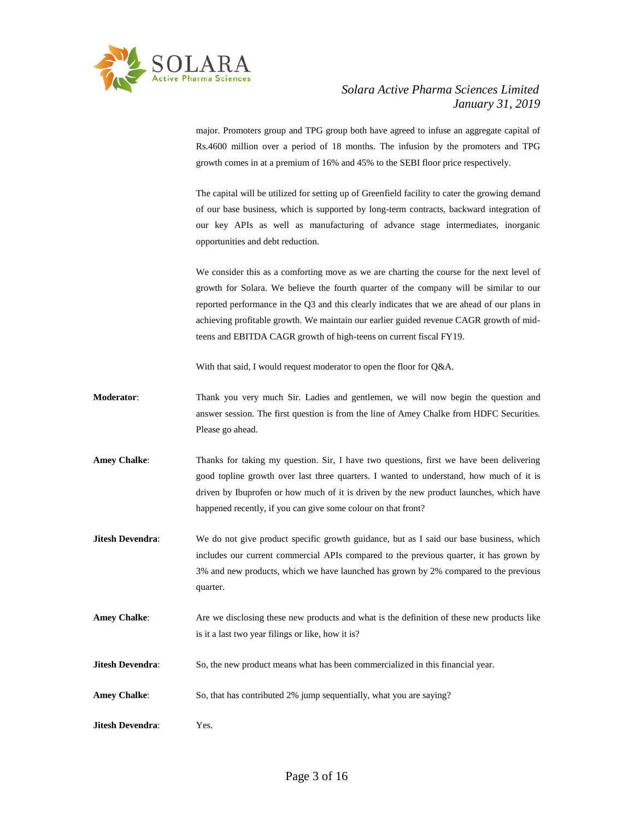

major. Promoters group and TPG group both have agreed to infuse an aggregate capital of Rs.4600 million over a period of 18 months. The infusion by the promoters and TPG growth comes in at a premium of 16% and 45% to the SEBI floor price respectively.

The capital will be utilized for setting up of Greenfield facility to cater the growing demand of our base business, which is supported by long-term contracts, backward integration of our key APIs as well as manufacturing of advance stage intermediates, inorganic opportunities and debt reduction.

We consider this as a comforting move as we are charting the course for the next level of growth for Solara. We believe the fourth quarter of the company will be similar to our reported performance in the Q3 and this clearly indicates that we are ahead of our plans in achieving profitable growth. We maintain our earlier guided revenue CAGR growth of midteens and EBITDA CAGR growth of high-teens on current fiscal FY19.

With that said, I would request moderator to open the floor for Q&A.

- **Moderator**: Thank you very much Sir. Ladies and gentlemen, we will now begin the question and answer session. The first question is from the line of Amey Chalke from HDFC Securities. Please go ahead.
- Amey Chalke: Thanks for taking my question. Sir, I have two questions, first we have been delivering good topline growth over last three quarters. I wanted to understand, how much of it is driven by Ibuprofen or how much of it is driven by the new product launches, which have happened recently, if you can give some colour on that front?
- **Jitesh Devendra:** We do not give product specific growth guidance, but as I said our base business, which includes our current commercial APIs compared to the previous quarter, it has grown by 3% and new products, which we have launched has grown by 2% compared to the previous quarter.
- Amey Chalke: Are we disclosing these new products and what is the definition of these new products like is it a last two year filings or like, how it is?
- **Jitesh Devendra:** So, the new product means what has been commercialized in this financial year.
- **Amey Chalke**: So, that has contributed 2% jump sequentially, what you are saying?
- **Jitesh Devendra**: Yes.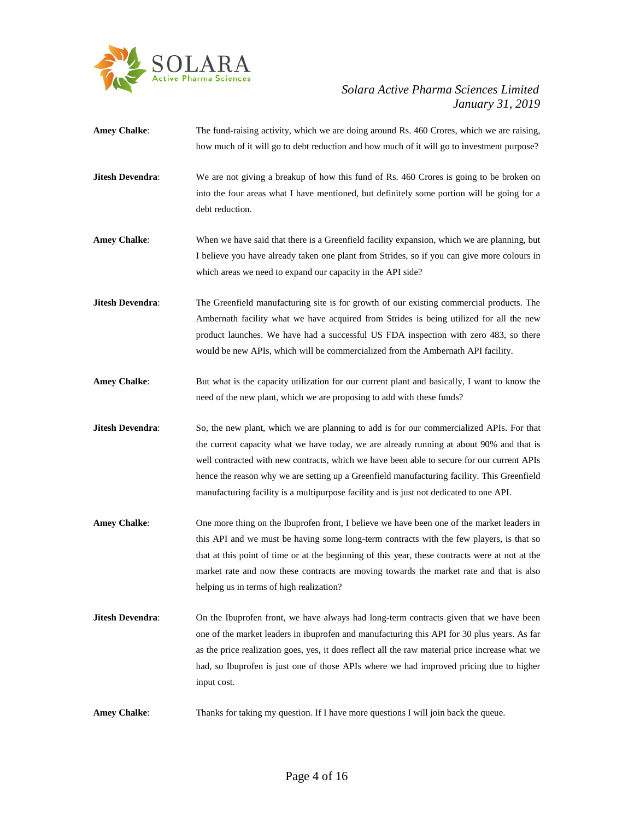

- Amey Chalke: The fund-raising activity, which we are doing around Rs. 460 Crores, which we are raising, how much of it will go to debt reduction and how much of it will go to investment purpose?
- **Jitesh Devendra:** We are not giving a breakup of how this fund of Rs. 460 Crores is going to be broken on into the four areas what I have mentioned, but definitely some portion will be going for a debt reduction.
- **Amey Chalke**: When we have said that there is a Greenfield facility expansion, which we are planning, but I believe you have already taken one plant from Strides, so if you can give more colours in which areas we need to expand our capacity in the API side?
- **Jitesh Devendra:** The Greenfield manufacturing site is for growth of our existing commercial products. The Ambernath facility what we have acquired from Strides is being utilized for all the new product launches. We have had a successful US FDA inspection with zero 483, so there would be new APIs, which will be commercialized from the Ambernath API facility.
- Amey Chalke: But what is the capacity utilization for our current plant and basically, I want to know the need of the new plant, which we are proposing to add with these funds?
- **Jitesh Devendra:** So, the new plant, which we are planning to add is for our commercialized APIs. For that the current capacity what we have today, we are already running at about 90% and that is well contracted with new contracts, which we have been able to secure for our current APIs hence the reason why we are setting up a Greenfield manufacturing facility. This Greenfield manufacturing facility is a multipurpose facility and is just not dedicated to one API.
- **Amey Chalke**: One more thing on the Ibuprofen front, I believe we have been one of the market leaders in this API and we must be having some long-term contracts with the few players, is that so that at this point of time or at the beginning of this year, these contracts were at not at the market rate and now these contracts are moving towards the market rate and that is also helping us in terms of high realization?
- **Jitesh Devendra:** On the Ibuprofen front, we have always had long-term contracts given that we have been one of the market leaders in ibuprofen and manufacturing this API for 30 plus years. As far as the price realization goes, yes, it does reflect all the raw material price increase what we had, so Ibuprofen is just one of those APIs where we had improved pricing due to higher input cost.
- **Amey Chalke**: Thanks for taking my question. If I have more questions I will join back the queue.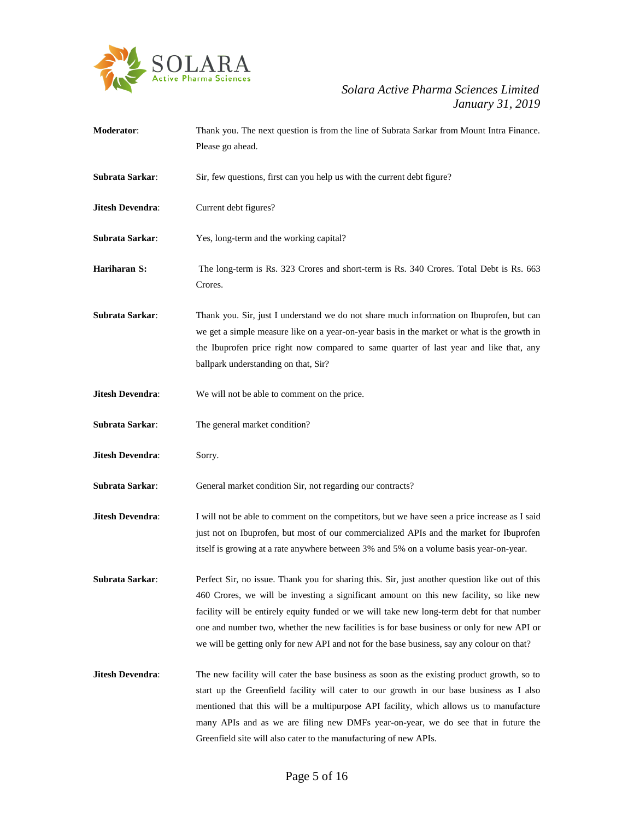

**Moderator**: Thank you. The next question is from the line of Subrata Sarkar from Mount Intra Finance. Please go ahead. **Subrata Sarkar:** Sir, few questions, first can you help us with the current debt figure? **Jitesh Devendra:** Current debt figures? **Subrata Sarkar**: Yes, long-term and the working capital? **Hariharan S:** The long-term is Rs. 323 Crores and short-term is Rs. 340 Crores. Total Debt is Rs. 663 Crores. **Subrata Sarkar**: Thank you. Sir, just I understand we do not share much information on Ibuprofen, but can we get a simple measure like on a year-on-year basis in the market or what is the growth in the Ibuprofen price right now compared to same quarter of last year and like that, any ballpark understanding on that, Sir? **Jitesh Devendra:** We will not be able to comment on the price. **Subrata Sarkar**: The general market condition? **Jitesh Devendra**: Sorry. **Subrata Sarkar:** General market condition Sir, not regarding our contracts? **Jitesh Devendra:** I will not be able to comment on the competitors, but we have seen a price increase as I said just not on Ibuprofen, but most of our commercialized APIs and the market for Ibuprofen itself is growing at a rate anywhere between 3% and 5% on a volume basis year-on-year. **Subrata Sarkar**: Perfect Sir, no issue. Thank you for sharing this. Sir, just another question like out of this 460 Crores, we will be investing a significant amount on this new facility, so like new facility will be entirely equity funded or we will take new long-term debt for that number one and number two, whether the new facilities is for base business or only for new API or we will be getting only for new API and not for the base business, say any colour on that? **Jitesh Devendra:** The new facility will cater the base business as soon as the existing product growth, so to start up the Greenfield facility will cater to our growth in our base business as I also mentioned that this will be a multipurpose API facility, which allows us to manufacture many APIs and as we are filing new DMFs year-on-year, we do see that in future the Greenfield site will also cater to the manufacturing of new APIs.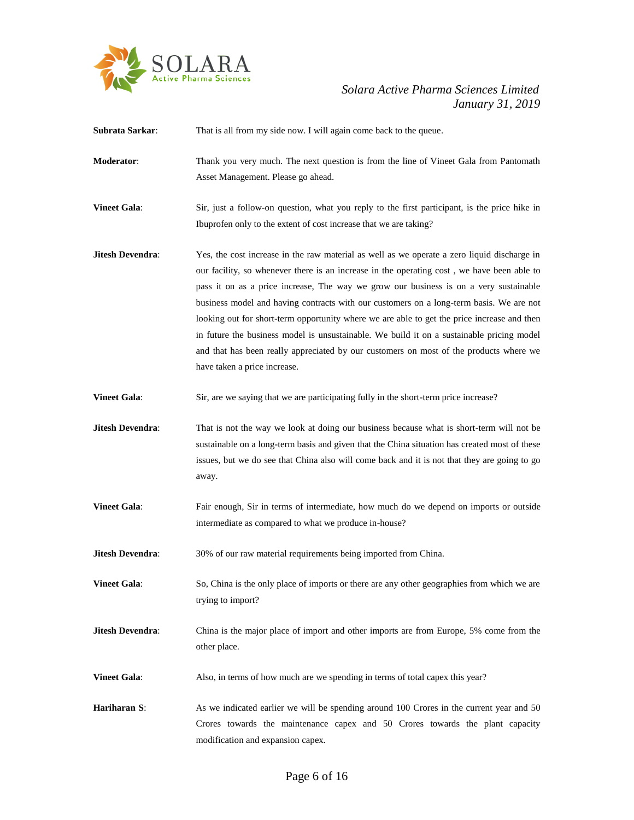

**Subrata Sarkar:** That is all from my side now. I will again come back to the queue.

- **Moderator**: Thank you very much. The next question is from the line of Vineet Gala from Pantomath Asset Management. Please go ahead.
- **Vineet Gala:** Sir, just a follow-on question, what you reply to the first participant, is the price hike in Ibuprofen only to the extent of cost increase that we are taking?
- **Jitesh Devendra**: Yes, the cost increase in the raw material as well as we operate a zero liquid discharge in our facility, so whenever there is an increase in the operating cost , we have been able to pass it on as a price increase, The way we grow our business is on a very sustainable business model and having contracts with our customers on a long-term basis. We are not looking out for short-term opportunity where we are able to get the price increase and then in future the business model is unsustainable. We build it on a sustainable pricing model and that has been really appreciated by our customers on most of the products where we have taken a price increase.
- **Vineet Gala:** Sir, are we saying that we are participating fully in the short-term price increase?
- **Jitesh Devendra:** That is not the way we look at doing our business because what is short-term will not be sustainable on a long-term basis and given that the China situation has created most of these issues, but we do see that China also will come back and it is not that they are going to go away.
- Vineet Gala: Fair enough, Sir in terms of intermediate, how much do we depend on imports or outside intermediate as compared to what we produce in-house?
- **Jitesh Devendra:** 30% of our raw material requirements being imported from China.
- **Vineet Gala:** So, China is the only place of imports or there are any other geographies from which we are trying to import?
- **Jitesh Devendra:** China is the major place of import and other imports are from Europe, 5% come from the other place.
- **Vineet Gala:** Also, in terms of how much are we spending in terms of total capex this year?
- Hariharan S: As we indicated earlier we will be spending around 100 Crores in the current year and 50 Crores towards the maintenance capex and 50 Crores towards the plant capacity modification and expansion capex.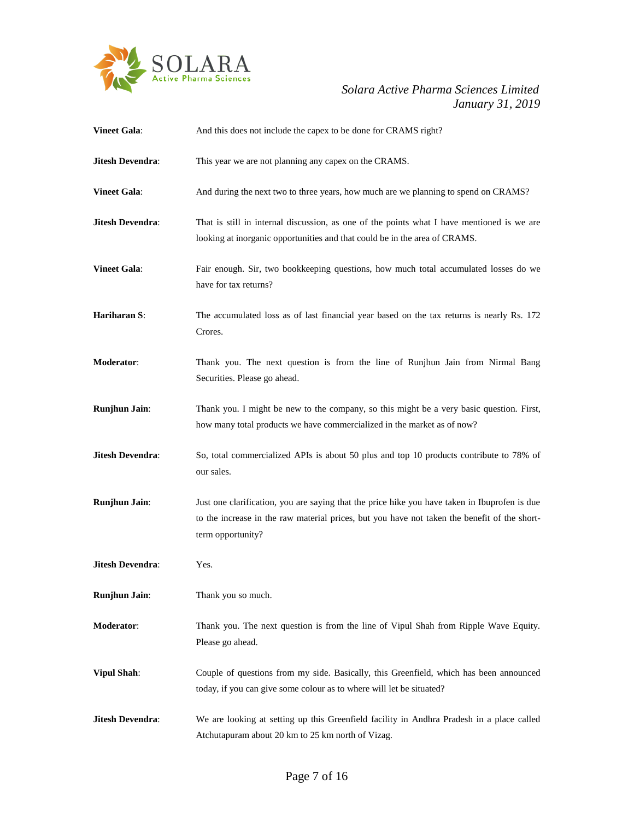

# *January 31, 2019*

| <b>Vineet Gala:</b>     | And this does not include the capex to be done for CRAMS right?                                                                                                                                                    |
|-------------------------|--------------------------------------------------------------------------------------------------------------------------------------------------------------------------------------------------------------------|
| <b>Jitesh Devendra:</b> | This year we are not planning any capex on the CRAMS.                                                                                                                                                              |
| <b>Vineet Gala:</b>     | And during the next two to three years, how much are we planning to spend on CRAMS?                                                                                                                                |
| <b>Jitesh Devendra:</b> | That is still in internal discussion, as one of the points what I have mentioned is we are<br>looking at inorganic opportunities and that could be in the area of CRAMS.                                           |
| <b>Vineet Gala:</b>     | Fair enough. Sir, two bookkeeping questions, how much total accumulated losses do we<br>have for tax returns?                                                                                                      |
| Hariharan S:            | The accumulated loss as of last financial year based on the tax returns is nearly Rs. 172<br>Crores.                                                                                                               |
| Moderator:              | Thank you. The next question is from the line of Runjhun Jain from Nirmal Bang<br>Securities. Please go ahead.                                                                                                     |
| Runjhun Jain:           | Thank you. I might be new to the company, so this might be a very basic question. First,<br>how many total products we have commercialized in the market as of now?                                                |
| <b>Jitesh Devendra:</b> | So, total commercialized APIs is about 50 plus and top 10 products contribute to 78% of<br>our sales.                                                                                                              |
| <b>Runjhun Jain:</b>    | Just one clarification, you are saying that the price hike you have taken in Ibuprofen is due<br>to the increase in the raw material prices, but you have not taken the benefit of the short-<br>term opportunity? |
| <b>Jitesh Devendra:</b> | Yes.                                                                                                                                                                                                               |
| Runjhun Jain:           | Thank you so much.                                                                                                                                                                                                 |
| Moderator:              | Thank you. The next question is from the line of Vipul Shah from Ripple Wave Equity.<br>Please go ahead.                                                                                                           |
| <b>Vipul Shah:</b>      | Couple of questions from my side. Basically, this Greenfield, which has been announced<br>today, if you can give some colour as to where will let be situated?                                                     |
| <b>Jitesh Devendra:</b> | We are looking at setting up this Greenfield facility in Andhra Pradesh in a place called<br>Atchutapuram about 20 km to 25 km north of Vizag.                                                                     |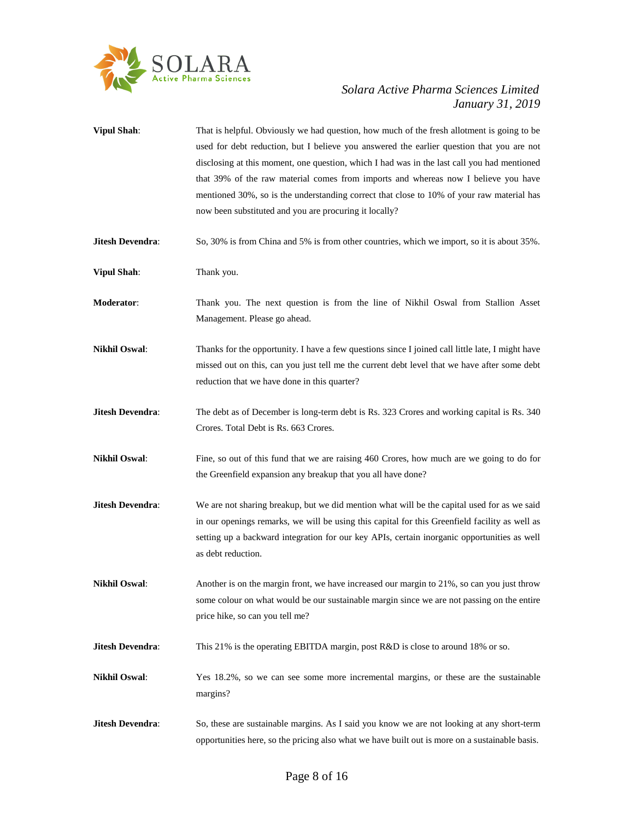

**Vipul Shah:** That is helpful. Obviously we had question, how much of the fresh allotment is going to be used for debt reduction, but I believe you answered the earlier question that you are not disclosing at this moment, one question, which I had was in the last call you had mentioned that 39% of the raw material comes from imports and whereas now I believe you have mentioned 30%, so is the understanding correct that close to 10% of your raw material has now been substituted and you are procuring it locally? **Jitesh Devendra:** So, 30% is from China and 5% is from other countries, which we import, so it is about 35%. **Vipul Shah:** Thank you. **Moderator**: Thank you. The next question is from the line of Nikhil Oswal from Stallion Asset Management. Please go ahead. **Nikhil Oswal:** Thanks for the opportunity. I have a few questions since I joined call little late, I might have missed out on this, can you just tell me the current debt level that we have after some debt reduction that we have done in this quarter? **Jitesh Devendra:** The debt as of December is long-term debt is Rs. 323 Crores and working capital is Rs. 340 Crores. Total Debt is Rs. 663 Crores. **Nikhil Oswal:** Fine, so out of this fund that we are raising 460 Crores, how much are we going to do for the Greenfield expansion any breakup that you all have done? **Jitesh Devendra:** We are not sharing breakup, but we did mention what will be the capital used for as we said in our openings remarks, we will be using this capital for this Greenfield facility as well as setting up a backward integration for our key APIs, certain inorganic opportunities as well as debt reduction. **Nikhil Oswal:** Another is on the margin front, we have increased our margin to 21%, so can you just throw some colour on what would be our sustainable margin since we are not passing on the entire price hike, so can you tell me? **Jitesh Devendra:** This 21% is the operating EBITDA margin, post R&D is close to around 18% or so. **Nikhil Oswal**: Yes 18.2%, so we can see some more incremental margins, or these are the sustainable margins? **Jitesh Devendra:** So, these are sustainable margins. As I said you know we are not looking at any short-term opportunities here, so the pricing also what we have built out is more on a sustainable basis.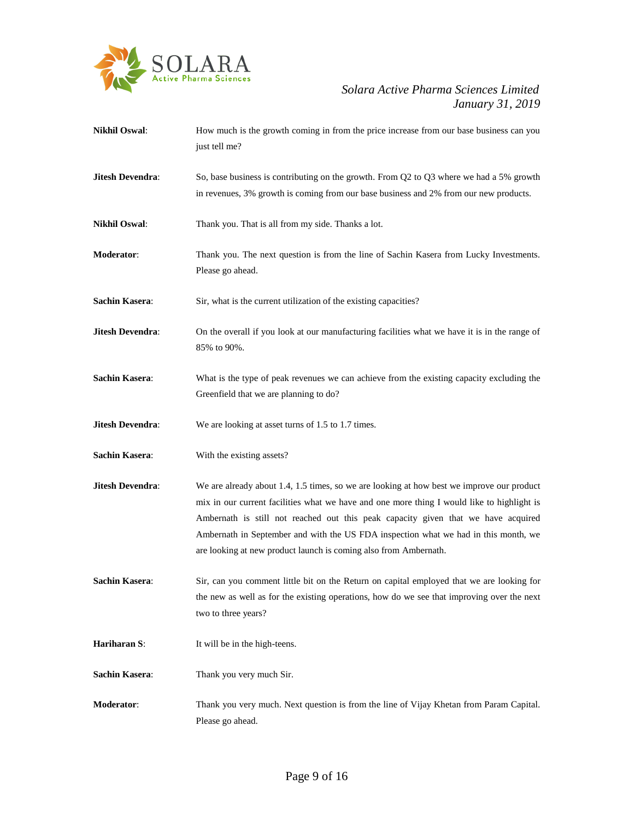

# *January 31, 2019*

| <b>Nikhil Oswal:</b>    | How much is the growth coming in from the price increase from our base business can you<br>just tell me?                                                                                                                                                                                                                                                                                                                                |
|-------------------------|-----------------------------------------------------------------------------------------------------------------------------------------------------------------------------------------------------------------------------------------------------------------------------------------------------------------------------------------------------------------------------------------------------------------------------------------|
| Jitesh Devendra:        | So, base business is contributing on the growth. From $Q2$ to $Q3$ where we had a 5% growth<br>in revenues, 3% growth is coming from our base business and 2% from our new products.                                                                                                                                                                                                                                                    |
| <b>Nikhil Oswal:</b>    | Thank you. That is all from my side. Thanks a lot.                                                                                                                                                                                                                                                                                                                                                                                      |
| Moderator:              | Thank you. The next question is from the line of Sachin Kasera from Lucky Investments.<br>Please go ahead.                                                                                                                                                                                                                                                                                                                              |
| <b>Sachin Kasera:</b>   | Sir, what is the current utilization of the existing capacities?                                                                                                                                                                                                                                                                                                                                                                        |
| Jitesh Devendra:        | On the overall if you look at our manufacturing facilities what we have it is in the range of<br>85% to 90%.                                                                                                                                                                                                                                                                                                                            |
| <b>Sachin Kasera:</b>   | What is the type of peak revenues we can achieve from the existing capacity excluding the<br>Greenfield that we are planning to do?                                                                                                                                                                                                                                                                                                     |
| <b>Jitesh Devendra:</b> | We are looking at asset turns of 1.5 to 1.7 times.                                                                                                                                                                                                                                                                                                                                                                                      |
| <b>Sachin Kasera:</b>   | With the existing assets?                                                                                                                                                                                                                                                                                                                                                                                                               |
| Jitesh Devendra:        | We are already about 1.4, 1.5 times, so we are looking at how best we improve our product<br>mix in our current facilities what we have and one more thing I would like to highlight is<br>Ambernath is still not reached out this peak capacity given that we have acquired<br>Ambernath in September and with the US FDA inspection what we had in this month, we<br>are looking at new product launch is coming also from Ambernath. |
| <b>Sachin Kasera:</b>   | Sir, can you comment little bit on the Return on capital employed that we are looking for<br>the new as well as for the existing operations, how do we see that improving over the next<br>two to three years?                                                                                                                                                                                                                          |
| Hariharan S:            | It will be in the high-teens.                                                                                                                                                                                                                                                                                                                                                                                                           |
| <b>Sachin Kasera:</b>   | Thank you very much Sir.                                                                                                                                                                                                                                                                                                                                                                                                                |
| Moderator:              | Thank you very much. Next question is from the line of Vijay Khetan from Param Capital.<br>Please go ahead.                                                                                                                                                                                                                                                                                                                             |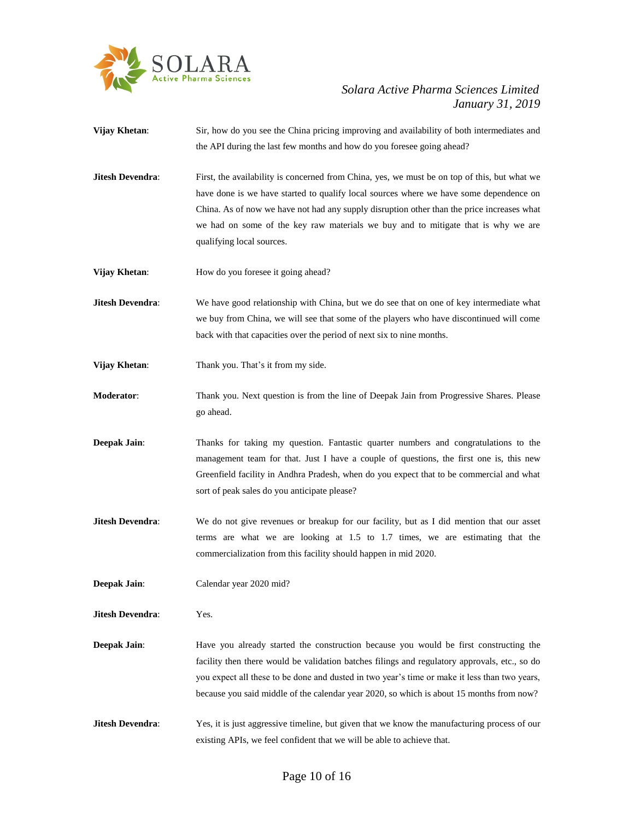

- **Vijay Khetan**: Sir, how do you see the China pricing improving and availability of both intermediates and the API during the last few months and how do you foresee going ahead?
- **Jitesh Devendra:** First, the availability is concerned from China, yes, we must be on top of this, but what we have done is we have started to qualify local sources where we have some dependence on China. As of now we have not had any supply disruption other than the price increases what we had on some of the key raw materials we buy and to mitigate that is why we are qualifying local sources.
- **Vijay Khetan:** How do you foresee it going ahead?
- **Jitesh Devendra:** We have good relationship with China, but we do see that on one of key intermediate what we buy from China, we will see that some of the players who have discontinued will come back with that capacities over the period of next six to nine months.
- **Vijay Khetan:** Thank you. That's it from my side.
- **Moderator**: Thank you. Next question is from the line of Deepak Jain from Progressive Shares. Please go ahead.
- **Deepak Jain**: Thanks for taking my question. Fantastic quarter numbers and congratulations to the management team for that. Just I have a couple of questions, the first one is, this new Greenfield facility in Andhra Pradesh, when do you expect that to be commercial and what sort of peak sales do you anticipate please?
- **Jitesh Devendra:** We do not give revenues or breakup for our facility, but as I did mention that our asset terms are what we are looking at 1.5 to 1.7 times, we are estimating that the commercialization from this facility should happen in mid 2020.
- **Deepak Jain**: Calendar year 2020 mid?
- **Jitesh Devendra**: Yes.
- **Deepak Jain:** Have you already started the construction because you would be first constructing the facility then there would be validation batches filings and regulatory approvals, etc., so do you expect all these to be done and dusted in two year's time or make it less than two years, because you said middle of the calendar year 2020, so which is about 15 months from now?
- **Jitesh Devendra:** Yes, it is just aggressive timeline, but given that we know the manufacturing process of our existing APIs, we feel confident that we will be able to achieve that.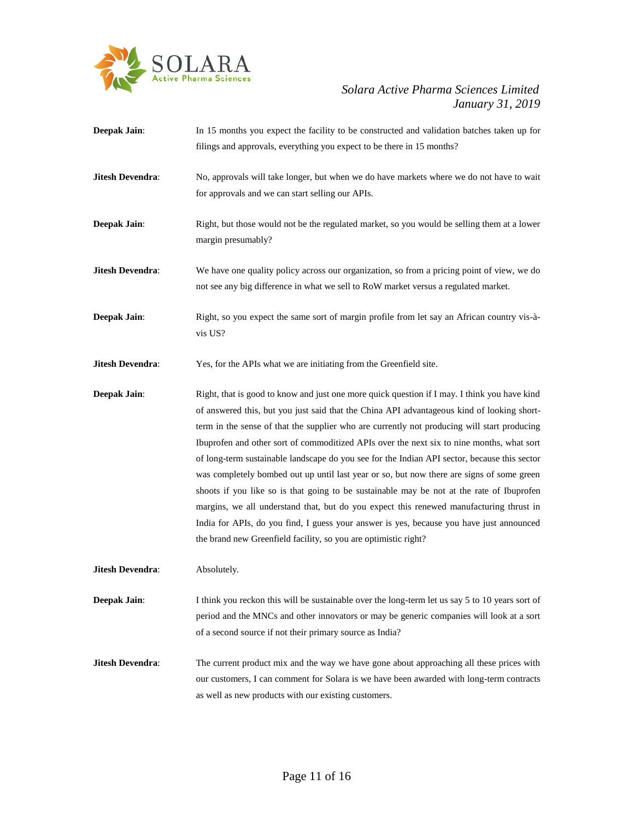

**Deepak Jain:** In 15 months you expect the facility to be constructed and validation batches taken up for filings and approvals, everything you expect to be there in 15 months? **Jitesh Devendra:** No, approvals will take longer, but when we do have markets where we do not have to wait for approvals and we can start selling our APIs. **Deepak Jain:** Right, but those would not be the regulated market, so you would be selling them at a lower margin presumably? **Jitesh Devendra:** We have one quality policy across our organization, so from a pricing point of view, we do not see any big difference in what we sell to RoW market versus a regulated market. **Deepak Jain:** Right, so you expect the same sort of margin profile from let say an African country vis-àvis US? **Jitesh Devendra:** Yes, for the APIs what we are initiating from the Greenfield site. **Deepak Jain:** Right, that is good to know and just one more quick question if I may. I think you have kind of answered this, but you just said that the China API advantageous kind of looking shortterm in the sense of that the supplier who are currently not producing will start producing Ibuprofen and other sort of commoditized APIs over the next six to nine months, what sort of long-term sustainable landscape do you see for the Indian API sector, because this sector was completely bombed out up until last year or so, but now there are signs of some green shoots if you like so is that going to be sustainable may be not at the rate of Ibuprofen margins, we all understand that, but do you expect this renewed manufacturing thrust in India for APIs, do you find, I guess your answer is yes, because you have just announced the brand new Greenfield facility, so you are optimistic right? **Jitesh Devendra**: Absolutely. **Deepak Jain:** I think you reckon this will be sustainable over the long-term let us say 5 to 10 years sort of period and the MNCs and other innovators or may be generic companies will look at a sort of a second source if not their primary source as India? **Jitesh Devendra:** The current product mix and the way we have gone about approaching all these prices with our customers, I can comment for Solara is we have been awarded with long-term contracts as well as new products with our existing customers.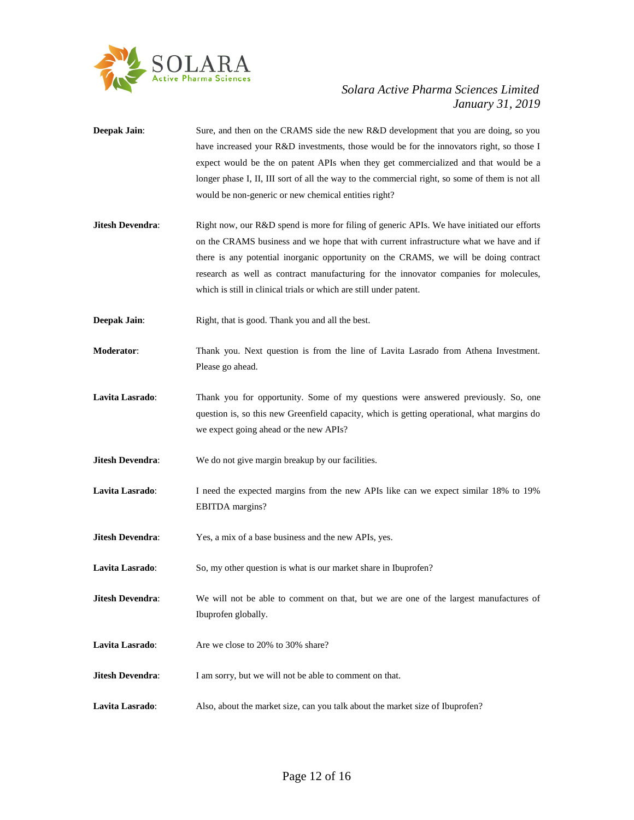

- **Deepak Jain:** Sure, and then on the CRAMS side the new R&D development that you are doing, so you have increased your R&D investments, those would be for the innovators right, so those I expect would be the on patent APIs when they get commercialized and that would be a longer phase I, II, III sort of all the way to the commercial right, so some of them is not all would be non-generic or new chemical entities right?
- **Jitesh Devendra:** Right now, our R&D spend is more for filing of generic APIs. We have initiated our efforts on the CRAMS business and we hope that with current infrastructure what we have and if there is any potential inorganic opportunity on the CRAMS, we will be doing contract research as well as contract manufacturing for the innovator companies for molecules, which is still in clinical trials or which are still under patent.
- **Deepak Jain:** Right, that is good. Thank you and all the best.
- **Moderator**: Thank you. Next question is from the line of Lavita Lasrado from Athena Investment. Please go ahead.
- Lavita Lasrado: Thank you for opportunity. Some of my questions were answered previously. So, one question is, so this new Greenfield capacity, which is getting operational, what margins do we expect going ahead or the new APIs?
- **Jitesh Devendra:** We do not give margin breakup by our facilities.
- Lavita Lasrado: I need the expected margins from the new APIs like can we expect similar 18% to 19% EBITDA margins?
- **Jitesh Devendra:** Yes, a mix of a base business and the new APIs, yes.
- Lavita Lasrado: So, my other question is what is our market share in Ibuprofen?
- **Jitesh Devendra**: We will not be able to comment on that, but we are one of the largest manufactures of Ibuprofen globally.
- **Lavita Lasrado**: Are we close to 20% to 30% share?
- **Jitesh Devendra:** I am sorry, but we will not be able to comment on that.
- **Lavita Lasrado**: Also, about the market size, can you talk about the market size of Ibuprofen?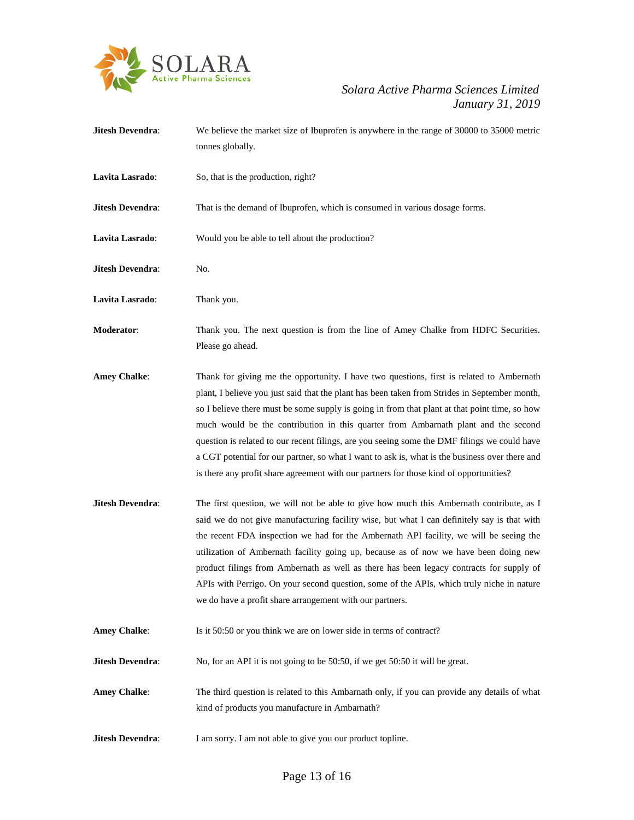

**Jitesh Devendra:** We believe the market size of Ibuprofen is anywhere in the range of 30000 to 35000 metric tonnes globally. Lavita Lasrado: So, that is the production, right? **Jitesh Devendra:** That is the demand of Ibuprofen, which is consumed in various dosage forms. **Lavita Lasrado**: Would you be able to tell about the production? **Jitesh Devendra**: No. **Lavita Lasrado**: Thank you. **Moderator:** Thank you. The next question is from the line of Amey Chalke from HDFC Securities. Please go ahead. **Amey Chalke**: Thank for giving me the opportunity. I have two questions, first is related to Ambernath plant, I believe you just said that the plant has been taken from Strides in September month, so I believe there must be some supply is going in from that plant at that point time, so how much would be the contribution in this quarter from Ambarnath plant and the second question is related to our recent filings, are you seeing some the DMF filings we could have a CGT potential for our partner, so what I want to ask is, what is the business over there and is there any profit share agreement with our partners for those kind of opportunities? **Jitesh Devendra:** The first question, we will not be able to give how much this Ambernath contribute, as I said we do not give manufacturing facility wise, but what I can definitely say is that with the recent FDA inspection we had for the Ambernath API facility, we will be seeing the utilization of Ambernath facility going up, because as of now we have been doing new product filings from Ambernath as well as there has been legacy contracts for supply of APIs with Perrigo. On your second question, some of the APIs, which truly niche in nature we do have a profit share arrangement with our partners. **Amey Chalke**: Is it 50:50 or you think we are on lower side in terms of contract? **Jitesh Devendra:** No, for an API it is not going to be 50:50, if we get 50:50 it will be great. Amey Chalke: The third question is related to this Ambarnath only, if you can provide any details of what kind of products you manufacture in Ambarnath? **Jitesh Devendra:** I am sorry. I am not able to give you our product topline.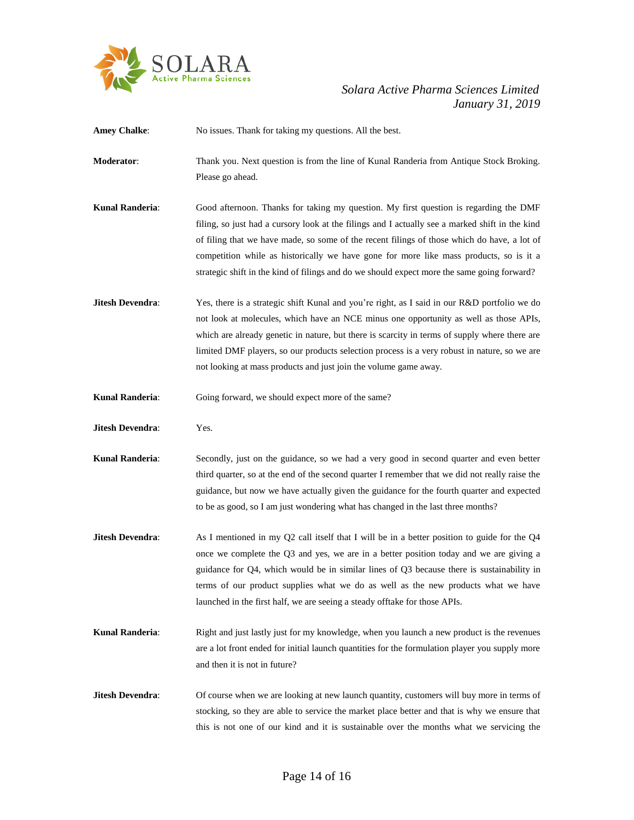

# *January 31, 2019*

| <b>Amey Chalke:</b>     | No issues. Thank for taking my questions. All the best.                                                                                                                                                                                                                                                                                                                                                                                                                          |
|-------------------------|----------------------------------------------------------------------------------------------------------------------------------------------------------------------------------------------------------------------------------------------------------------------------------------------------------------------------------------------------------------------------------------------------------------------------------------------------------------------------------|
| Moderator:              | Thank you. Next question is from the line of Kunal Randeria from Antique Stock Broking.<br>Please go ahead.                                                                                                                                                                                                                                                                                                                                                                      |
| <b>Kunal Randeria:</b>  | Good afternoon. Thanks for taking my question. My first question is regarding the DMF<br>filing, so just had a cursory look at the filings and I actually see a marked shift in the kind<br>of filing that we have made, so some of the recent filings of those which do have, a lot of<br>competition while as historically we have gone for more like mass products, so is it a<br>strategic shift in the kind of filings and do we should expect more the same going forward? |
| <b>Jitesh Devendra:</b> | Yes, there is a strategic shift Kunal and you're right, as I said in our R&D portfolio we do<br>not look at molecules, which have an NCE minus one opportunity as well as those APIs,<br>which are already genetic in nature, but there is scarcity in terms of supply where there are<br>limited DMF players, so our products selection process is a very robust in nature, so we are<br>not looking at mass products and just join the volume game away.                       |
| <b>Kunal Randeria:</b>  | Going forward, we should expect more of the same?                                                                                                                                                                                                                                                                                                                                                                                                                                |
| Jitesh Devendra:        | Yes.                                                                                                                                                                                                                                                                                                                                                                                                                                                                             |
| <b>Kunal Randeria:</b>  | Secondly, just on the guidance, so we had a very good in second quarter and even better<br>third quarter, so at the end of the second quarter I remember that we did not really raise the<br>guidance, but now we have actually given the guidance for the fourth quarter and expected<br>to be as good, so I am just wondering what has changed in the last three months?                                                                                                       |
| <b>Jitesh Devendra:</b> | As I mentioned in my Q2 call itself that I will be in a better position to guide for the Q4<br>once we complete the Q3 and yes, we are in a better position today and we are giving a<br>guidance for Q4, which would be in similar lines of Q3 because there is sustainability in<br>terms of our product supplies what we do as well as the new products what we have<br>launched in the first half, we are seeing a steady offtake for those APIs.                            |
| <b>Kunal Randeria:</b>  | Right and just lastly just for my knowledge, when you launch a new product is the revenues<br>are a lot front ended for initial launch quantities for the formulation player you supply more<br>and then it is not in future?                                                                                                                                                                                                                                                    |
| <b>Jitesh Devendra:</b> | Of course when we are looking at new launch quantity, customers will buy more in terms of<br>stocking, so they are able to service the market place better and that is why we ensure that<br>this is not one of our kind and it is sustainable over the months what we servicing the                                                                                                                                                                                             |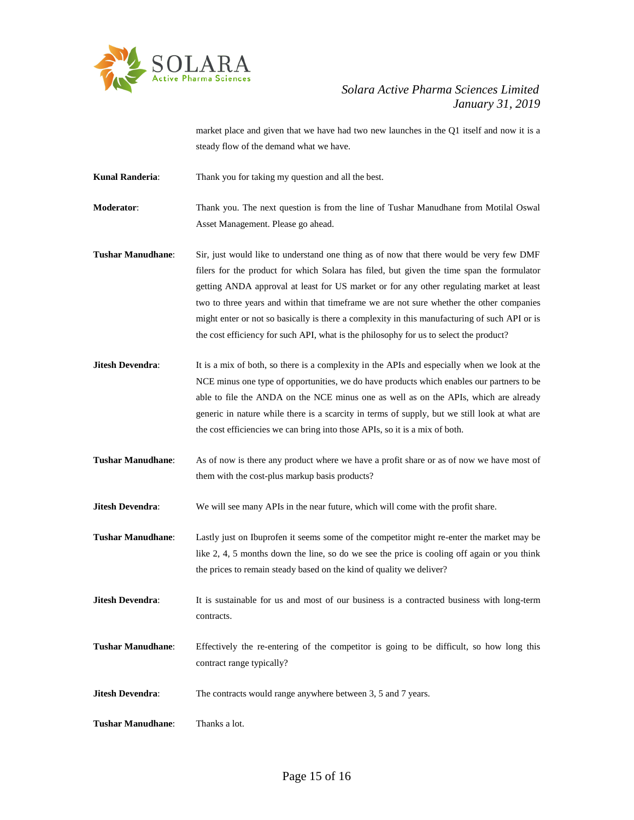

market place and given that we have had two new launches in the Q1 itself and now it is a steady flow of the demand what we have.

**Kunal Randeria**: Thank you for taking my question and all the best.

**Moderator**: Thank you. The next question is from the line of Tushar Manudhane from Motilal Oswal Asset Management. Please go ahead.

**Tushar Manudhane**: Sir, just would like to understand one thing as of now that there would be very few DMF filers for the product for which Solara has filed, but given the time span the formulator getting ANDA approval at least for US market or for any other regulating market at least two to three years and within that timeframe we are not sure whether the other companies might enter or not so basically is there a complexity in this manufacturing of such API or is the cost efficiency for such API, what is the philosophy for us to select the product?

- **Jitesh Devendra:** It is a mix of both, so there is a complexity in the APIs and especially when we look at the NCE minus one type of opportunities, we do have products which enables our partners to be able to file the ANDA on the NCE minus one as well as on the APIs, which are already generic in nature while there is a scarcity in terms of supply, but we still look at what are the cost efficiencies we can bring into those APIs, so it is a mix of both.
- **Tushar Manudhane**: As of now is there any product where we have a profit share or as of now we have most of them with the cost-plus markup basis products?

**Jitesh Devendra:** We will see many APIs in the near future, which will come with the profit share.

**Tushar Manudhane**: Lastly just on Ibuprofen it seems some of the competitor might re-enter the market may be like 2, 4, 5 months down the line, so do we see the price is cooling off again or you think the prices to remain steady based on the kind of quality we deliver?

**Jitesh Devendra:** It is sustainable for us and most of our business is a contracted business with long-term contracts.

**Tushar Manudhane**: Effectively the re-entering of the competitor is going to be difficult, so how long this contract range typically?

**Jitesh Devendra:** The contracts would range anywhere between 3, 5 and 7 years.

**Tushar Manudhane**: Thanks a lot.